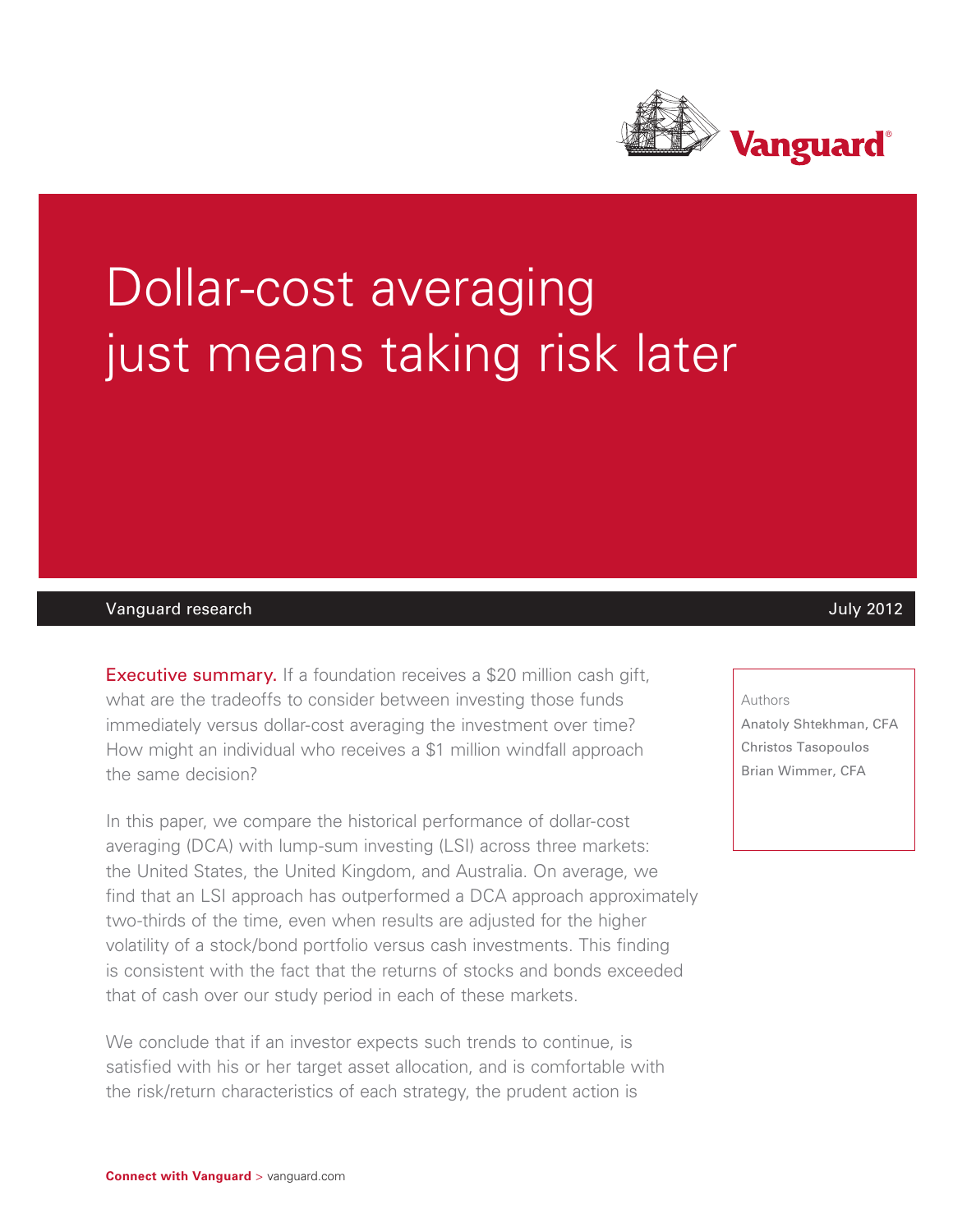

# Dollar-cost averaging just means taking risk later

#### Vanguard research July 2012

**Executive summary.** If a foundation receives a \$20 million cash gift, what are the tradeoffs to consider between investing those funds immediately versus dollar-cost averaging the investment over time? How might an individual who receives a \$1 million windfall approach the same decision?

In this paper, we compare the historical performance of dollar-cost averaging (DCA) with lump-sum investing (LSI) across three markets: the United States, the United Kingdom, and Australia. On average, we find that an LSI approach has outperformed a DCA approach approximately two-thirds of the time, even when results are adjusted for the higher volatility of a stock/bond portfolio versus cash investments. This finding is consistent with the fact that the returns of stocks and bonds exceeded that of cash over our study period in each of these markets.

We conclude that if an investor expects such trends to continue, is satisfied with his or her target asset allocation, and is comfortable with the risk/return characteristics of each strategy, the prudent action is

#### Authors

Anatoly Shtekhman, CFA Christos Tasopoulos Brian Wimmer, CFA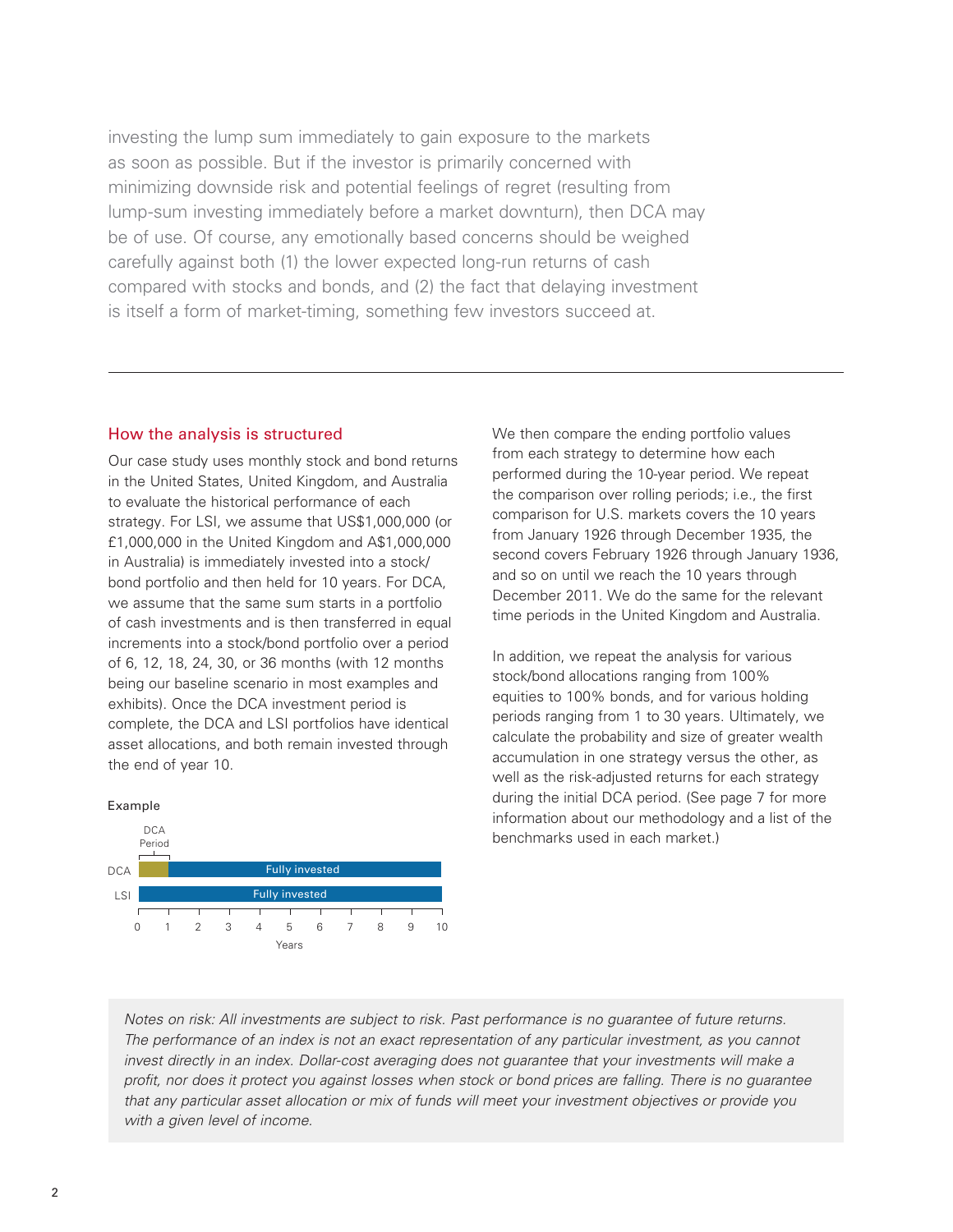investing the lump sum immediately to gain exposure to the markets as soon as possible. But if the investor is primarily concerned with minimizing downside risk and potential feelings of regret (resulting from lump-sum investing immediately before a market downturn), then DCA may be of use. Of course, any emotionally based concerns should be weighed carefully against both (1) the lower expected long-run returns of cash compared with stocks and bonds, and (2) the fact that delaying investment is itself a form of market-timing, something few investors succeed at.

#### How the analysis is structured

Our case study uses monthly stock and bond returns in the United States, United Kingdom, and Australia to evaluate the historical performance of each strategy. For LSI, we assume that US\$1,000,000 (or £1,000,000 in the United Kingdom and A\$1,000,000 in Australia) is immediately invested into a stock/ bond portfolio and then held for 10 years. For DCA, we assume that the same sum starts in a portfolio of cash investments and is then transferred in equal increments into a stock/bond portfolio over a period of 6, 12, 18, 24, 30, or 36 months (with 12 months being our baseline scenario in most examples and exhibits). Once the DCA investment period is complete, the DCA and LSI portfolios have identical asset allocations, and both remain invested through the end of year 10.



We then compare the ending portfolio values from each strategy to determine how each performed during the 10-year period. We repeat the comparison over rolling periods; i.e., the first comparison for U.S. markets covers the 10 years from January 1926 through December 1935, the second covers February 1926 through January 1936, and so on until we reach the 10 years through December 2011. We do the same for the relevant time periods in the United Kingdom and Australia.

In addition, we repeat the analysis for various stock/bond allocations ranging from 100% equities to 100% bonds, and for various holding periods ranging from 1 to 30 years. Ultimately, we calculate the probability and size of greater wealth accumulation in one strategy versus the other, as well as the risk-adjusted returns for each strategy during the initial DCA period. (See page 7 for more information about our methodology and a list of the benchmarks used in each market.)

*Notes on risk: All investments are subject to risk. Past performance is no guarantee of future returns. The performance of an index is not an exact representation of any particular investment, as you cannot invest directly in an index. Dollar-cost averaging does not guarantee that your investments will make a profit, nor does it protect you against losses when stock or bond prices are falling. There is no guarantee that any particular asset allocation or mix of funds will meet your investment objectives or provide you with a given level of income.*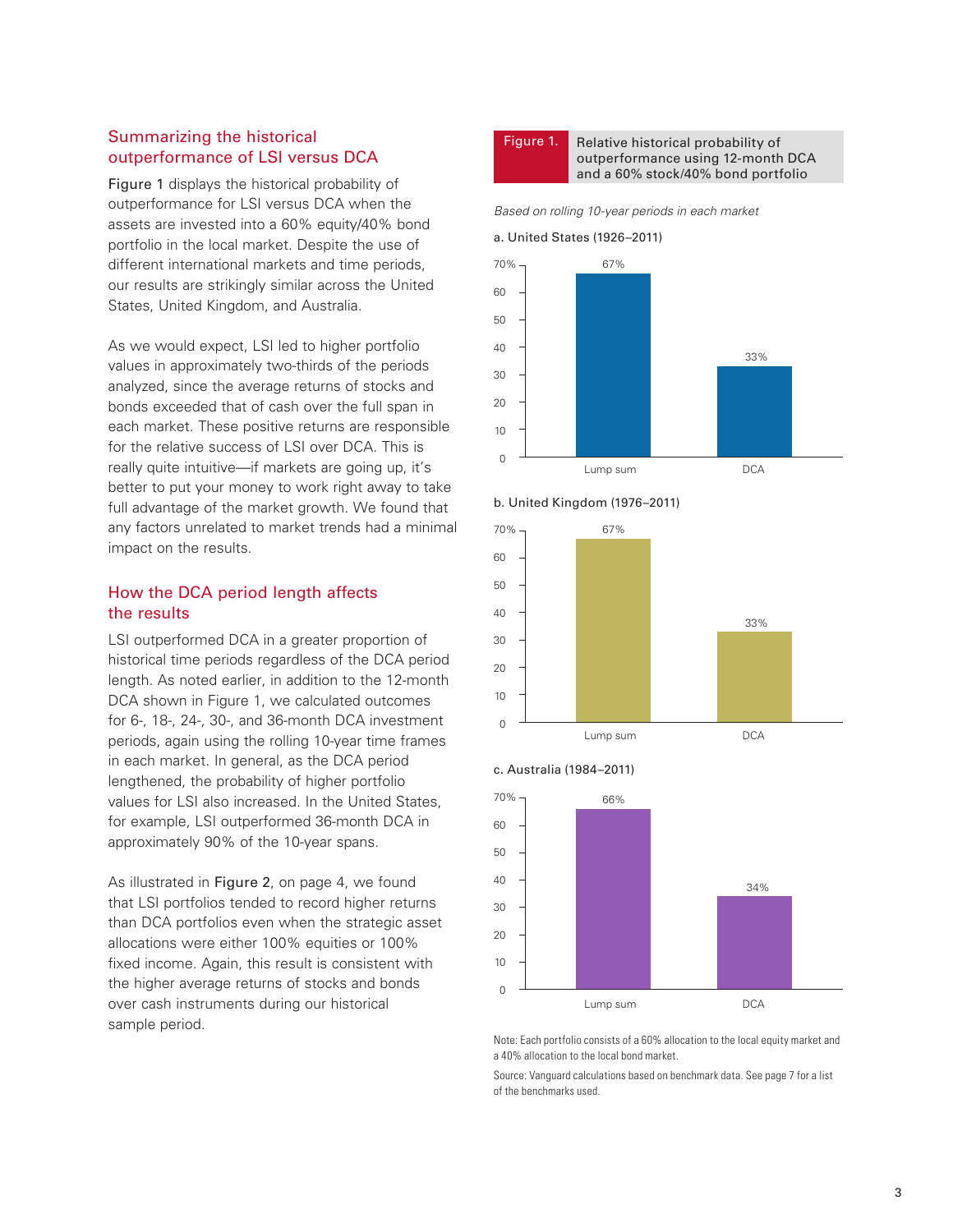## Summarizing the historical outperformance of LSI versus DCA

Figure 1 displays the historical probability of outperformance for LSI versus DCA when the assets are invested into a 60% equity/40% bond portfolio in the local market. Despite the use of different international markets and time periods, our results are strikingly similar across the United States, United Kingdom, and Australia.

As we would expect, LSI led to higher portfolio values in approximately two-thirds of the periods analyzed, since the average returns of stocks and bonds exceeded that of cash over the full span in each market. These positive returns are responsible for the relative success of LSI over DCA. This is really quite intuitive—if markets are going up, it's better to put your money to work right away to take full advantage of the market growth. We found that any factors unrelated to market trends had a minimal impact on the results.

#### How the DCA period length affects the results

LSI outperformed DCA in a greater proportion of historical time periods regardless of the DCA period length. As noted earlier, in addition to the 12-month DCA shown in Figure 1, we calculated outcomes for 6-, 18-, 24-, 30-, and 36-month DCA investment periods, again using the rolling 10-year time frames in each market. In general, as the DCA period lengthened, the probability of higher portfolio values for LSI also increased. In the United States, for example, LSI outperformed 36-month DCA in approximately 90% of the 10-year spans.

As illustrated in Figure 2, on page 4, we found that LSI portfolios tended to record higher returns than DCA portfolios even when the strategic asset allocations were either 100% equities or 100% fixed income. Again, this result is consistent with the higher average returns of stocks and bonds over cash instruments during our historical sample period.



Figure 1. Relative historical probability of outperformance using 12-month DCA and a 60% stock/40% bond portfolio

*Based on rolling 10-year periods in each market*









Note: Each portfolio consists of a 60% allocation to the local equity market and a 40% allocation to the local bond market.

Source: Vanguard calculations based on benchmark data. See page 7 for a list of the benchmarks used.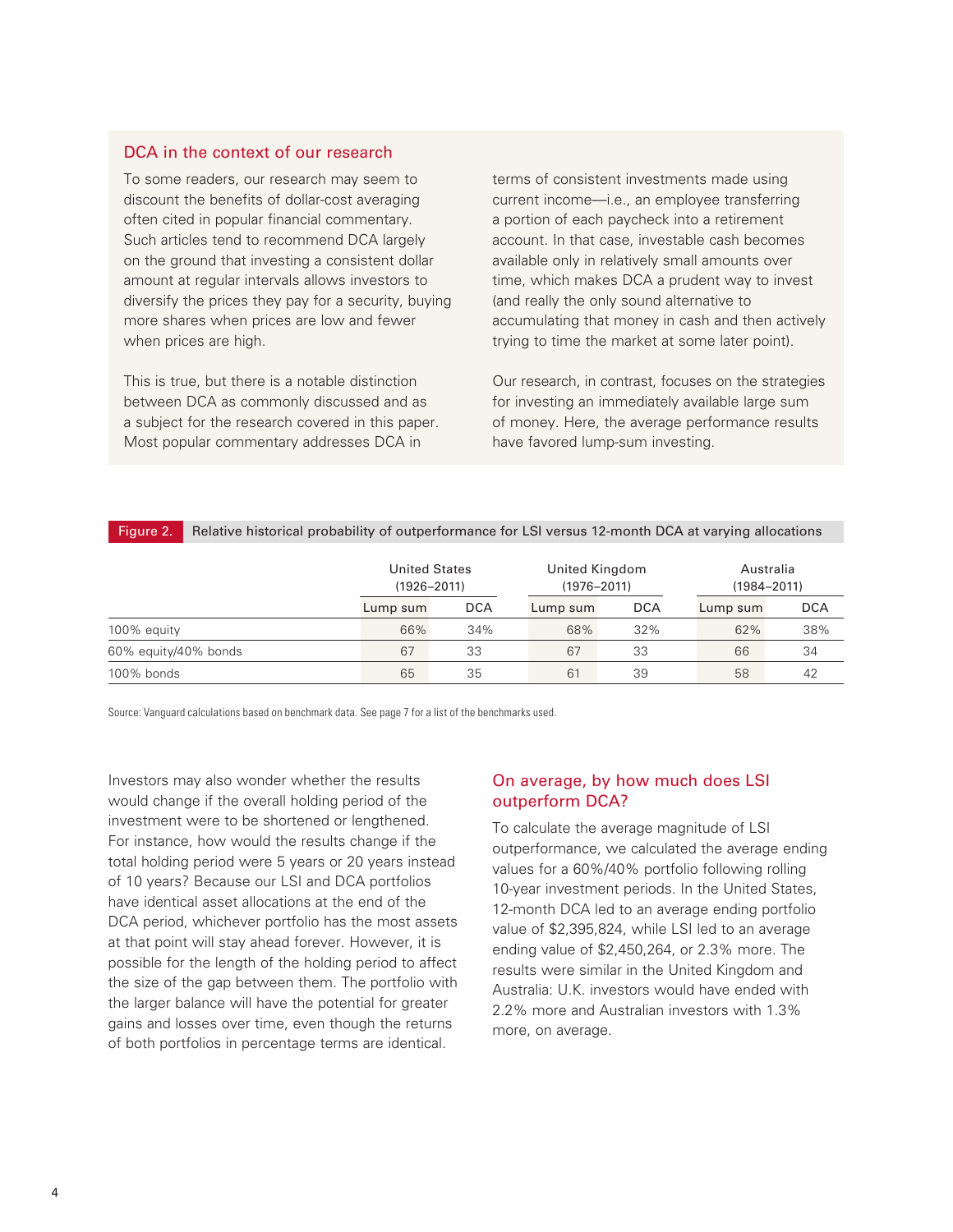#### DCA in the context of our research

To some readers, our research may seem to discount the benefits of dollar-cost averaging often cited in popular financial commentary. Such articles tend to recommend DCA largely on the ground that investing a consistent dollar amount at regular intervals allows investors to diversify the prices they pay for a security, buying more shares when prices are low and fewer when prices are high.

This is true, but there is a notable distinction between DCA as commonly discussed and as a subject for the research covered in this paper. Most popular commentary addresses DCA in

terms of consistent investments made using current income—i.e., an employee transferring a portion of each paycheck into a retirement account. In that case, investable cash becomes available only in relatively small amounts over time, which makes DCA a prudent way to invest (and really the only sound alternative to accumulating that money in cash and then actively trying to time the market at some later point).

Our research, in contrast, focuses on the strategies for investing an immediately available large sum of money. Here, the average performance results have favored lump-sum investing.

|  | Figure 2. Relative historical probability of outperformance for LSI versus 12-month DCA at varying allocations |  |
|--|----------------------------------------------------------------------------------------------------------------|--|
|--|----------------------------------------------------------------------------------------------------------------|--|

|                      |          | <b>United States</b><br>$(1926 - 2011)$ |          | United Kingdom<br>$(1976 - 2011)$ |          | Australia<br>$(1984 - 2011)$ |  |
|----------------------|----------|-----------------------------------------|----------|-----------------------------------|----------|------------------------------|--|
|                      | Lump sum | <b>DCA</b>                              | Lump sum | <b>DCA</b>                        | Lump sum | <b>DCA</b>                   |  |
| 100% equity          | 66%      | 34%                                     | 68%      | 32%                               | 62%      | 38%                          |  |
| 60% equity/40% bonds | 67       | 33                                      | 67       | 33                                | 66       | 34                           |  |
| 100% bonds           | 65       | 35                                      | 61       | 39                                | 58       | 42                           |  |

Source: Vanguard calculations based on benchmark data. See page 7 for a list of the benchmarks used.

Investors may also wonder whether the results would change if the overall holding period of the investment were to be shortened or lengthened. For instance, how would the results change if the total holding period were 5 years or 20 years instead of 10 years? Because our LSI and DCA portfolios have identical asset allocations at the end of the DCA period, whichever portfolio has the most assets at that point will stay ahead forever. However, it is possible for the length of the holding period to affect the size of the gap between them. The portfolio with the larger balance will have the potential for greater gains and losses over time, even though the returns of both portfolios in percentage terms are identical.

## On average, by how much does LSI outperform DCA?

To calculate the average magnitude of LSI outperformance, we calculated the average ending values for a 60%/40% portfolio following rolling 10-year investment periods. In the United States, 12-month DCA led to an average ending portfolio value of \$2,395,824, while LSI led to an average ending value of \$2,450,264, or 2.3% more. The results were similar in the United Kingdom and Australia: U.K. investors would have ended with 2.2% more and Australian investors with 1.3% more, on average.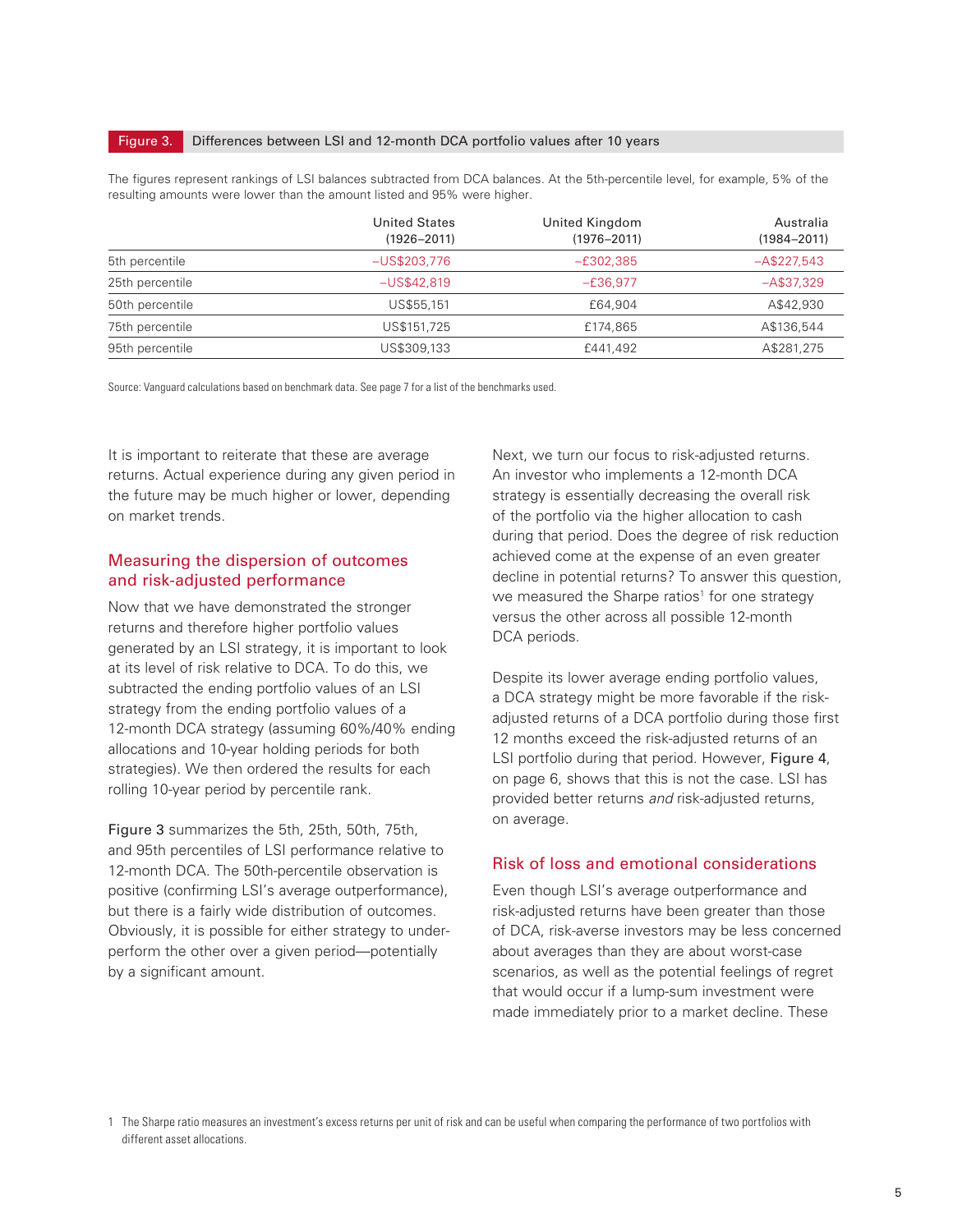#### Figure 3. Differences between LSI and 12-month DCA portfolio values after 10 years

The figures represent rankings of LSI balances subtracted from DCA balances. At the 5th-percentile level, for example, 5% of the resulting amounts were lower than the amount listed and 95% were higher.

|                 | <b>United States</b><br>$(1926 - 2011)$ | United Kingdom<br>$(1976 - 2011)$ | Australia<br>$(1984 - 2011)$ |
|-----------------|-----------------------------------------|-----------------------------------|------------------------------|
| 5th percentile  | $-US$203.776$                           | $-£302.385$                       | $-A$227,543$                 |
| 25th percentile | $-US$42,819$                            | $-E36,977$                        | $-A$37,329$                  |
| 50th percentile | US\$55,151                              | £64,904                           | A\$42,930                    |
| 75th percentile | US\$151,725                             | £174.865                          | A\$136,544                   |
| 95th percentile | US\$309,133                             | £441.492                          | A\$281,275                   |

Source: Vanguard calculations based on benchmark data. See page 7 for a list of the benchmarks used.

It is important to reiterate that these are average returns. Actual experience during any given period in the future may be much higher or lower, depending on market trends.

#### Measuring the dispersion of outcomes and risk-adjusted performance

Now that we have demonstrated the stronger returns and therefore higher portfolio values generated by an LSI strategy, it is important to look at its level of risk relative to DCA. To do this, we subtracted the ending portfolio values of an LSI strategy from the ending portfolio values of a 12-month DCA strategy (assuming 60%/40% ending allocations and 10-year holding periods for both strategies). We then ordered the results for each rolling 10-year period by percentile rank.

Figure 3 summarizes the 5th, 25th, 50th, 75th, and 95th percentiles of LSI performance relative to 12-month DCA. The 50th-percentile observation is positive (confirming LSI's average outperformance), but there is a fairly wide distribution of outcomes. Obviously, it is possible for either strategy to underperform the other over a given period—potentially by a significant amount.

Next, we turn our focus to risk-adjusted returns. An investor who implements a 12-month DCA strategy is essentially decreasing the overall risk of the portfolio via the higher allocation to cash during that period. Does the degree of risk reduction achieved come at the expense of an even greater decline in potential returns? To answer this question, we measured the Sharpe ratios<sup>1</sup> for one strategy versus the other across all possible 12-month DCA periods.

Despite its lower average ending portfolio values, a DCA strategy might be more favorable if the riskadjusted returns of a DCA portfolio during those first 12 months exceed the risk-adjusted returns of an LSI portfolio during that period. However, Figure 4, on page 6, shows that this is not the case. LSI has provided better returns *and* risk-adjusted returns, on average.

#### Risk of loss and emotional considerations

Even though LSI's average outperformance and risk-adjusted returns have been greater than those of DCA, risk-averse investors may be less concerned about averages than they are about worst-case scenarios, as well as the potential feelings of regret that would occur if a lump-sum investment were made immediately prior to a market decline. These

1 The Sharpe ratio measures an investment's excess returns per unit of risk and can be useful when comparing the performance of two portfolios with different asset allocations.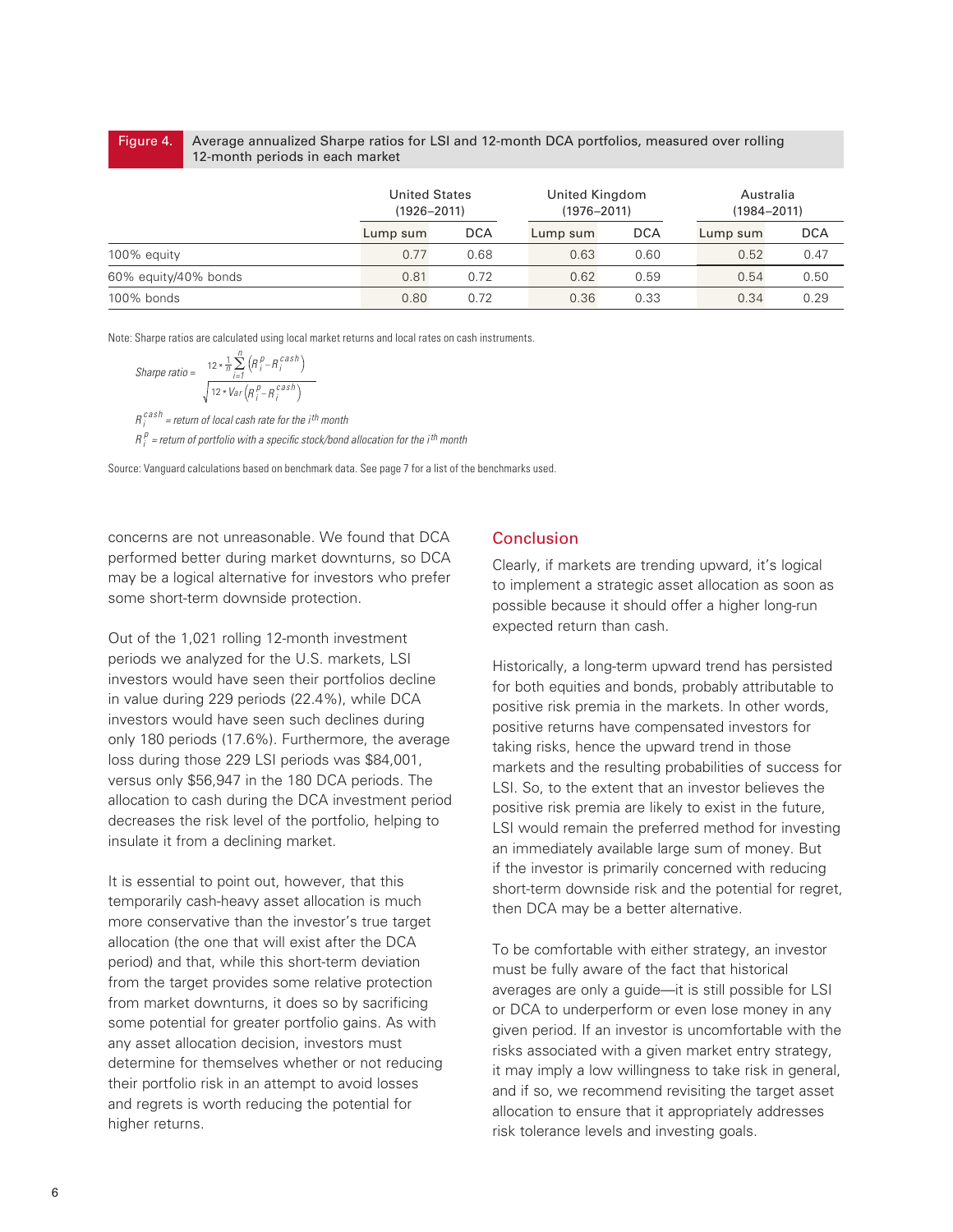#### Average annualized Sharpe ratios for LSI and 12-month DCA portfolios, measured over rolling 12-month periods in each market Figure 4.

|                      |          | <b>United States</b><br>$(1926 - 2011)$ |          | United Kingdom<br>$(1976 - 2011)$ |          | Australia<br>$(1984 - 2011)$ |  |
|----------------------|----------|-----------------------------------------|----------|-----------------------------------|----------|------------------------------|--|
|                      | Lump sum | <b>DCA</b>                              | Lump sum | <b>DCA</b>                        | Lump sum | <b>DCA</b>                   |  |
| 100% equity          | 0.77     | 0.68                                    | 0.63     | 0.60                              | 0.52     | 0.47                         |  |
| 60% equity/40% bonds | 0.81     | 0.72                                    | 0.62     | 0.59                              | 0.54     | 0.50                         |  |
| 100% bonds           | 0.80     | 0.72                                    | 0.36     | 0.33                              | 0.34     | 0.29                         |  |

Note: Sharpe ratios are calculated using local market returns and local rates on cash instruments.

$$
Shape\ ratio = \frac{12 * \frac{1}{n} \sum_{i=1}^{n} (R_i^p - R_i^{cash})}{\sqrt{12 * Var\left(R_i^p - R_i^{cash}\right)}}
$$

*<sup>R</sup> cash <sup>i</sup> = return of local cash rate for the ith month*  $R_i^p$  = return of portfolio with a specific stock/bond allocation for the i<sup>th</sup> month

Source: Vanguard calculations based on benchmark data. See page 7 for a list of the benchmarks used.

concerns are not unreasonable. We found that DCA performed better during market downturns, so DCA may be a logical alternative for investors who prefer some short-term downside protection.

Out of the 1,021 rolling 12-month investment periods we analyzed for the U.S. markets, LSI investors would have seen their portfolios decline in value during 229 periods (22.4%), while DCA investors would have seen such declines during only 180 periods (17.6%). Furthermore, the average loss during those 229 LSI periods was \$84,001, versus only \$56,947 in the 180 DCA periods. The allocation to cash during the DCA investment period decreases the risk level of the portfolio, helping to insulate it from a declining market.

It is essential to point out, however, that this temporarily cash-heavy asset allocation is much more conservative than the investor's true target allocation (the one that will exist after the DCA period) and that, while this short-term deviation from the target provides some relative protection from market downturns, it does so by sacrificing some potential for greater portfolio gains. As with any asset allocation decision, investors must determine for themselves whether or not reducing their portfolio risk in an attempt to avoid losses and regrets is worth reducing the potential for higher returns.

#### Conclusion

Clearly, if markets are trending upward, it's logical to implement a strategic asset allocation as soon as possible because it should offer a higher long-run expected return than cash.

Historically, a long-term upward trend has persisted for both equities and bonds, probably attributable to positive risk premia in the markets. In other words, positive returns have compensated investors for taking risks, hence the upward trend in those markets and the resulting probabilities of success for LSI. So, to the extent that an investor believes the positive risk premia are likely to exist in the future, LSI would remain the preferred method for investing an immediately available large sum of money. But if the investor is primarily concerned with reducing short-term downside risk and the potential for regret, then DCA may be a better alternative.

To be comfortable with either strategy, an investor must be fully aware of the fact that historical averages are only a guide—it is still possible for LSI or DCA to underperform or even lose money in any given period. If an investor is uncomfortable with the risks associated with a given market entry strategy, it may imply a low willingness to take risk in general, and if so, we recommend revisiting the target asset allocation to ensure that it appropriately addresses risk tolerance levels and investing goals.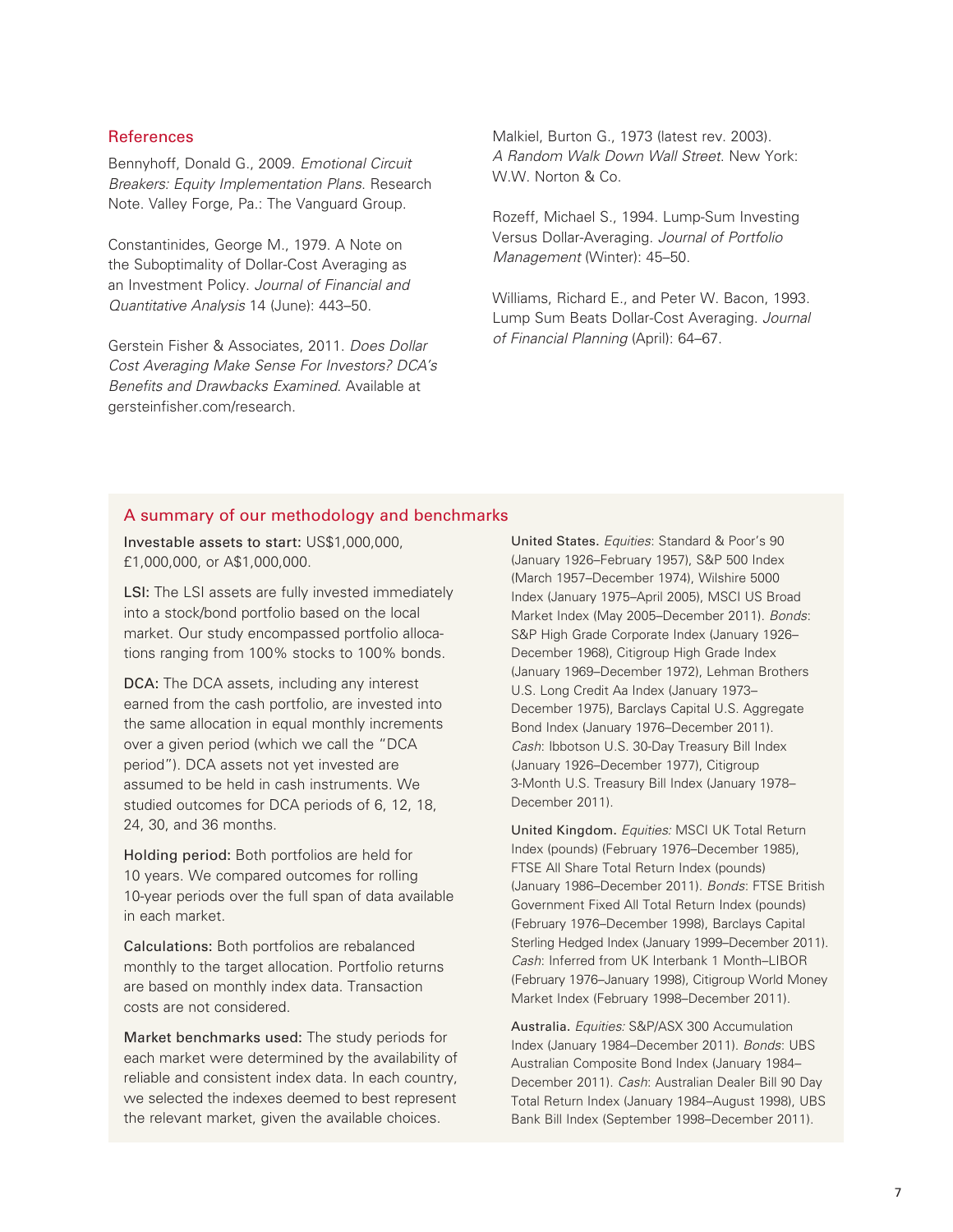#### References

Bennyhoff, Donald G., 2009. *Emotional Circuit Breakers: Equity Implementation Plans*. Research Note. Valley Forge, Pa.: The Vanguard Group.

Constantinides, George M., 1979. A Note on the Suboptimality of Dollar-Cost Averaging as an Investment Policy. *Journal of Financial and Quantitative Analysis* 14 (June): 443–50.

Gerstein Fisher & Associates, 2011. *Does Dollar Cost Averaging Make Sense For Investors? DCA's Benefits and Drawbacks Examined*. Available at gersteinfisher.com/research.

Malkiel, Burton G., 1973 (latest rev. 2003). *A Random Walk Down Wall Street*. New York: W.W. Norton & Co.

Rozeff, Michael S., 1994. Lump-Sum Investing Versus Dollar-Averaging. *Journal of Portfolio Management* (Winter): 45–50.

Williams, Richard E., and Peter W. Bacon, 1993. Lump Sum Beats Dollar-Cost Averaging. *Journal of Financial Planning* (April): 64–67.

#### A summary of our methodology and benchmarks

Investable assets to start: US\$1,000,000, £1,000,000, or A\$1,000,000.

LSI: The LSI assets are fully invested immediately into a stock/bond portfolio based on the local market. Our study encompassed portfolio allocations ranging from 100% stocks to 100% bonds.

DCA: The DCA assets, including any interest earned from the cash portfolio, are invested into the same allocation in equal monthly increments over a given period (which we call the "DCA period"). DCA assets not yet invested are assumed to be held in cash instruments. We studied outcomes for DCA periods of 6, 12, 18, 24, 30, and 36 months.

Holding period: Both portfolios are held for 10 years. We compared outcomes for rolling 10-year periods over the full span of data available in each market.

Calculations: Both portfolios are rebalanced monthly to the target allocation. Portfolio returns are based on monthly index data. Transaction costs are not considered.

Market benchmarks used: The study periods for each market were determined by the availability of reliable and consistent index data. In each country, we selected the indexes deemed to best represent the relevant market, given the available choices.

United States. *Equities*: Standard & Poor's 90 (January 1926–February 1957), S&P 500 Index (March 1957–December 1974), Wilshire 5000 Index (January 1975–April 2005), MSCI US Broad Market Index (May 2005–December 2011). *Bonds*: S&P High Grade Corporate Index (January 1926– December 1968), Citigroup High Grade Index (January 1969–December 1972), Lehman Brothers U.S. Long Credit Aa Index (January 1973– December 1975), Barclays Capital U.S. Aggregate Bond Index (January 1976–December 2011). *Cash*: Ibbotson U.S. 30-Day Treasury Bill Index (January 1926–December 1977), Citigroup 3-Month U.S. Treasury Bill Index (January 1978– December 2011).

United Kingdom. *Equities:* MSCI UK Total Return Index (pounds) (February 1976–December 1985), FTSE All Share Total Return Index (pounds) (January 1986–December 2011). *Bonds*: FTSE British Government Fixed All Total Return Index (pounds) (February 1976–December 1998), Barclays Capital Sterling Hedged Index (January 1999–December 2011). *Cash*: Inferred from UK Interbank 1 Month–LIBOR (February 1976–January 1998), Citigroup World Money Market Index (February 1998–December 2011).

Australia. *Equities:* S&P/ASX 300 Accumulation Index (January 1984–December 2011). *Bonds*: UBS Australian Composite Bond Index (January 1984– December 2011). *Cash*: Australian Dealer Bill 90 Day Total Return Index (January 1984–August 1998), UBS Bank Bill Index (September 1998–December 2011).